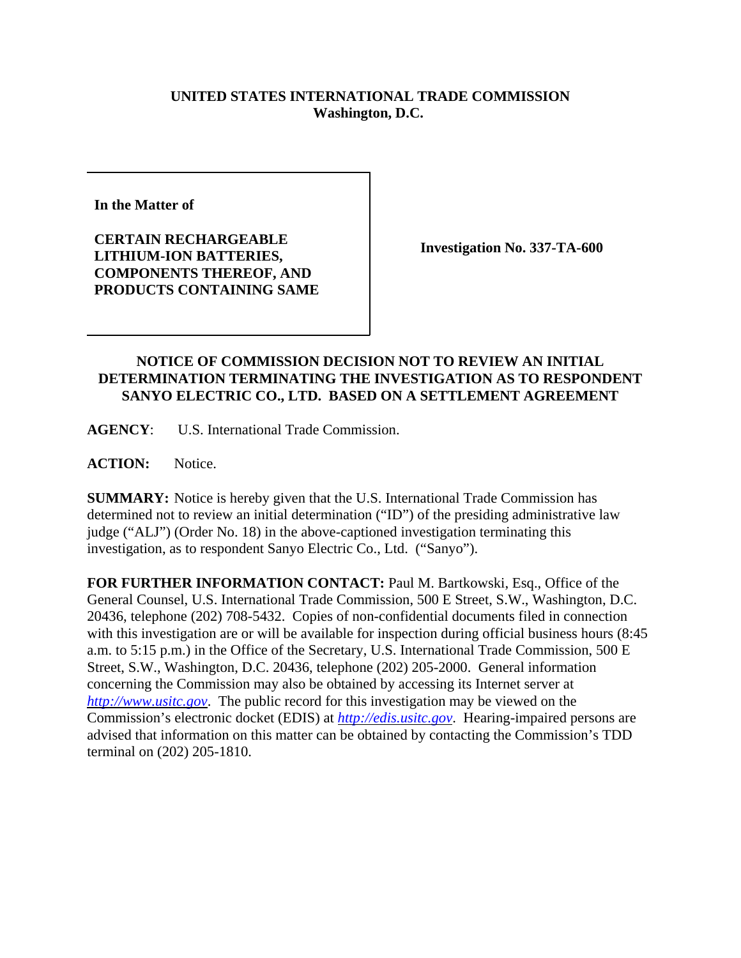## **UNITED STATES INTERNATIONAL TRADE COMMISSION Washington, D.C.**

**In the Matter of** 

**CERTAIN RECHARGEABLE LITHIUM-ION BATTERIES, COMPONENTS THEREOF, AND PRODUCTS CONTAINING SAME**

**Investigation No. 337-TA-600**

## **NOTICE OF COMMISSION DECISION NOT TO REVIEW AN INITIAL DETERMINATION TERMINATING THE INVESTIGATION AS TO RESPONDENT SANYO ELECTRIC CO., LTD. BASED ON A SETTLEMENT AGREEMENT**

**AGENCY**: U.S. International Trade Commission.

ACTION: Notice.

**SUMMARY:** Notice is hereby given that the U.S. International Trade Commission has determined not to review an initial determination ("ID") of the presiding administrative law judge ("ALJ") (Order No. 18) in the above-captioned investigation terminating this investigation, as to respondent Sanyo Electric Co., Ltd. ("Sanyo").

**FOR FURTHER INFORMATION CONTACT:** Paul M. Bartkowski, Esq., Office of the General Counsel, U.S. International Trade Commission, 500 E Street, S.W., Washington, D.C. 20436, telephone (202) 708-5432. Copies of non-confidential documents filed in connection with this investigation are or will be available for inspection during official business hours (8:45 a.m. to 5:15 p.m.) in the Office of the Secretary, U.S. International Trade Commission, 500 E Street, S.W., Washington, D.C. 20436, telephone (202) 205-2000. General information concerning the Commission may also be obtained by accessing its Internet server at *http://www.usitc.gov*. The public record for this investigation may be viewed on the Commission's electronic docket (EDIS) at *http://edis.usitc.gov*. Hearing-impaired persons are advised that information on this matter can be obtained by contacting the Commission's TDD terminal on (202) 205-1810.